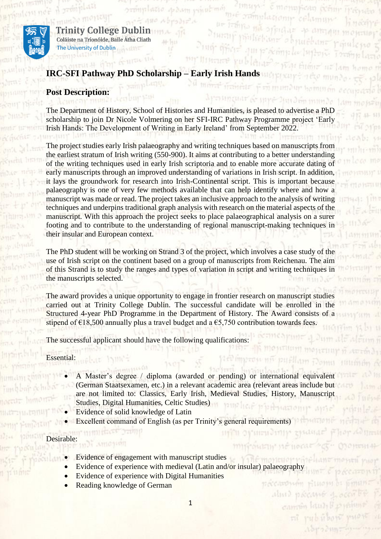

Trinity College Dublin Coláiste na Tríonóide, Baile Átha Cliath The University of Dublin

# **IRC-SFI Pathway PhD Scholarship – Early Irish Hands**

## **Post Description:**

The Department of History, School of Histories and Humanities, is pleased to advertise a PhD scholarship to join Dr Nicole Volmering on her SFI-IRC Pathway Programme project 'Early Irish Hands: The Development of Writing in Early Ireland' from September 2022.

muy é monofican scriur

ar Transa ma orjudar op annam lingumor

as family at

undur haminen

fuit d'un intimée

dinal processo

camin laudi b nî rubi

 $m$ <sup>16</sup> sumplay only columny

Sturing productions objuded and

prime yublomes.

The project studies early Irish palaeography and writing techniques based on manuscripts from the earliest stratum of Irish writing (550-900). It aims at contributing to a better understanding of the writing techniques used in early Irish scriptoria and to enable more accurate dating of early manuscripts through an improved understanding of variations in Irish script. In addition, it lays the groundwork for research into Irish-Continental script. This is important because palaeography is one of very few methods available that can help identify where and how a manuscript was made or read. The project takes an inclusive approach to the analysis of writing techniques and underpins traditional graph analysis with research on the material aspects of the manuscript. With this approach the project seeks to place palaeographical analysis on a surer footing and to contribute to the understanding of regional manuscript-making techniques in their insular and European context.

The PhD student will be working on Strand 3 of the project, which involves a case study of the use of Irish script on the continent based on a group of manuscripts from Reichenau. The aim of this Strand is to study the ranges and types of variation in script and writing techniques in the manuscripts selected.

The award provides a unique opportunity to engage in frontier research on manuscript studies carried out at Trinity College Dublin. The successful candidate will be enrolled in the Structured 4-year PhD Programme in the Department of History. The Award consists of a stipend of  $\epsilon$ 18,500 annually plus a travel budget and a  $\epsilon$ 5,750 contribution towards fees.

The successful applicant should have the following qualifications:

#### Essential:

- A Master's degree / diploma (awarded or pending) or international equivalent (German Staatsexamen, etc.) in a relevant academic area (relevant areas include but are not limited to: Classics, Early Irish, Medieval Studies, History, Manuscript Studies, Digital Humanities, Celtic Studies)
- Evidence of solid knowledge of Latin
- Excellent command of English (as per Trinity's general requirements)

#### Desirable:

- Evidence of engagement with manuscript studies
- Evidence of experience with medieval (Latin and/or insular) palaeography
- Evidence of experience with Digital Humanities
- Reading knowledge of German